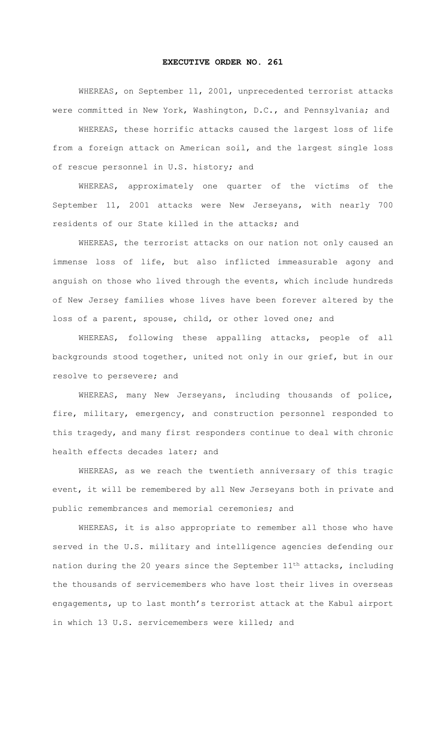## **EXECUTIVE ORDER NO. 261**

WHEREAS**,** on September 11, 2001, unprecedented terrorist attacks were committed in New York, Washington, D.C., and Pennsylvania; and

WHEREAS, these horrific attacks caused the largest loss of life from a foreign attack on American soil, and the largest single loss of rescue personnel in U.S. history; and

WHEREAS, approximately one quarter of the victims of the September 11, 2001 attacks were New Jerseyans, with nearly 700 residents of our State killed in the attacks; and

WHEREAS, the terrorist attacks on our nation not only caused an immense loss of life, but also inflicted immeasurable agony and anguish on those who lived through the events, which include hundreds of New Jersey families whose lives have been forever altered by the loss of a parent, spouse, child, or other loved one; and

WHEREAS, following these appalling attacks, people of all backgrounds stood together, united not only in our grief, but in our resolve to persevere; and

WHEREAS, many New Jerseyans, including thousands of police, fire, military, emergency, and construction personnel responded to this tragedy, and many first responders continue to deal with chronic health effects decades later; and

WHEREAS, as we reach the twentieth anniversary of this tragic event, it will be remembered by all New Jerseyans both in private and public remembrances and memorial ceremonies; and

WHEREAS, it is also appropriate to remember all those who have served in the U.S. military and intelligence agencies defending our nation during the 20 years since the September 11th attacks, including the thousands of servicemembers who have lost their lives in overseas engagements, up to last month's terrorist attack at the Kabul airport in which 13 U.S. servicemembers were killed; and